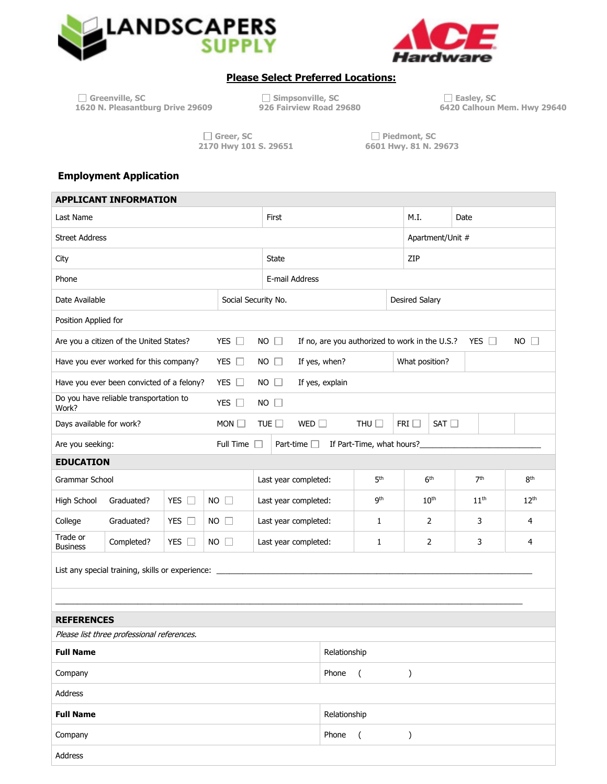



## **Please Select Preferred Locations:**

| $\Box$ Greenville, SC            |    |
|----------------------------------|----|
| 1620 N. Pleasantburg Drive 29609 | 9. |

**Greenville, SC Simpsonville, SC Easley, SC** 

**6420 Calhoun Mem. Hwy 29640** 

 **2170 Hwy 101 S. 29651 6601 Hwy. 81 N. 29673** 

 $\Box$  **Greer, SC**  $\Box$  Greer, SC  $\Box$  Piedmont, SC 2170 Hwy 101 S. 29651

## **Employment Application**

ſ

| <b>APPLICANT INFORMATION</b>                     |                             |                     |                                |                                    |                           |                                                |                  |                  |  |
|--------------------------------------------------|-----------------------------|---------------------|--------------------------------|------------------------------------|---------------------------|------------------------------------------------|------------------|------------------|--|
| Last Name                                        |                             |                     | First                          |                                    | M.I.                      | Date                                           |                  |                  |  |
| <b>Street Address</b>                            |                             |                     |                                |                                    |                           |                                                | Apartment/Unit # |                  |  |
| <b>State</b><br>City                             |                             |                     |                                |                                    | ZIP                       |                                                |                  |                  |  |
|                                                  |                             |                     | E-mail Address                 |                                    |                           |                                                |                  |                  |  |
|                                                  | Date Available              | Social Security No. |                                | <b>Desired Salary</b>              |                           |                                                |                  |                  |  |
|                                                  | Position Applied for        |                     |                                |                                    |                           |                                                |                  |                  |  |
| Are you a citizen of the United States?          |                             | YES $\square$       | $NO \Box$                      |                                    |                           | If no, are you authorized to work in the U.S.? | YES $\Box$       | $NO$ $\Box$      |  |
| Have you ever worked for this company?           |                             | YES $\Box$          | $NO$ $\Box$                    | If yes, when?                      |                           | What position?                                 |                  |                  |  |
| Have you ever been convicted of a felony?        |                             | YES $\Box$          | $NO$ $\Box$                    | If yes, explain                    |                           |                                                |                  |                  |  |
| Do you have reliable transportation to           |                             | YES $\square$       | $NO$ $\Box$                    |                                    |                           |                                                |                  |                  |  |
|                                                  | Days available for work?    | MON                 | TUE $\square$<br>WED $\square$ |                                    | THU $\square$             | FRI $\Box$<br>$SAT \Box$                       |                  |                  |  |
|                                                  | Are you seeking:            | Full Time           | Part-time $\square$            |                                    | If Part-Time, what hours? |                                                |                  |                  |  |
|                                                  | <b>EDUCATION</b>            |                     |                                |                                    |                           |                                                |                  |                  |  |
|                                                  | Grammar School              |                     | Last year completed:           |                                    | 5 <sup>th</sup>           | 6 <sup>th</sup>                                | 7 <sup>th</sup>  | 8 <sup>th</sup>  |  |
| Graduated?<br>YES $\Box$                         | High School                 | $NO$ $\Box$         | Last year completed:           |                                    | gth                       | 10 <sup>th</sup>                               | 11 <sup>th</sup> | 12 <sup>th</sup> |  |
| Graduated?<br>YES $\Box$                         |                             | $NO$ $\Box$         | Last year completed:<br>1      |                                    | 2                         | 3                                              | 4                |                  |  |
| YES $\square$<br>Completed?                      | Trade or<br><b>Business</b> | $NO$ $\Box$         | Last year completed:           |                                    | $\mathbf{1}$              | 2                                              | 3                | 4                |  |
| List any special training, skills or experience: |                             |                     |                                |                                    |                           |                                                |                  |                  |  |
|                                                  |                             |                     |                                |                                    |                           |                                                |                  |                  |  |
| <b>REFERENCES</b>                                |                             |                     |                                |                                    |                           |                                                |                  |                  |  |
| Please list three professional references.       |                             |                     |                                |                                    |                           |                                                |                  |                  |  |
| Relationship<br><b>Full Name</b>                 |                             |                     |                                |                                    |                           |                                                |                  |                  |  |
| Company                                          |                             |                     |                                | Phone<br>$\left($<br>$\mathcal{C}$ |                           |                                                |                  |                  |  |
| Address                                          |                             |                     |                                |                                    |                           |                                                |                  |                  |  |
|                                                  | <b>Full Name</b>            |                     |                                | Relationship                       |                           |                                                |                  |                  |  |
|                                                  | Company                     |                     |                                | Phone                              | $\overline{ }$            | )                                              |                  |                  |  |
|                                                  | Address                     |                     |                                |                                    |                           |                                                |                  |                  |  |
|                                                  |                             |                     |                                |                                    |                           |                                                |                  |                  |  |